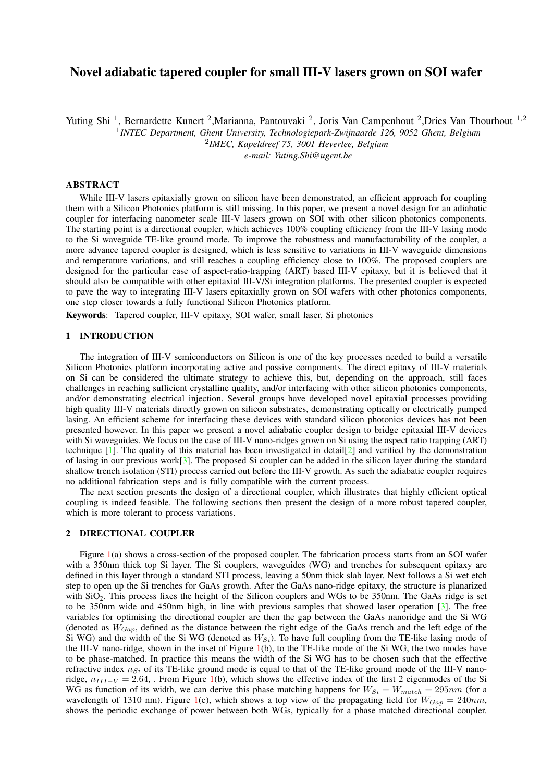# Novel adiabatic tapered coupler for small III-V lasers grown on SOI wafer

Yuting Shi<sup>1</sup>, Bernardette Kunert<sup>2</sup>, Marianna, Pantouvaki<sup>2</sup>, Joris Van Campenhout<sup>2</sup>, Dries Van Thourhout<sup>1,2</sup>

1 *INTEC Department, Ghent University, Technologiepark-Zwijnaarde 126, 9052 Ghent, Belgium*

2 *IMEC, Kapeldreef 75, 3001 Heverlee, Belgium*

*e-mail: Yuting.Shi@ugent.be*

# ABSTRACT

While III-V lasers epitaxially grown on silicon have been demonstrated, an efficient approach for coupling them with a Silicon Photonics platform is still missing. In this paper, we present a novel design for an adiabatic coupler for interfacing nanometer scale III-V lasers grown on SOI with other silicon photonics components. The starting point is a directional coupler, which achieves 100% coupling efficiency from the III-V lasing mode to the Si waveguide TE-like ground mode. To improve the robustness and manufacturability of the coupler, a more advance tapered coupler is designed, which is less sensitive to variations in III-V waveguide dimensions and temperature variations, and still reaches a coupling efficiency close to 100%. The proposed couplers are designed for the particular case of aspect-ratio-trapping (ART) based III-V epitaxy, but it is believed that it should also be compatible with other epitaxial III-V/Si integration platforms. The presented coupler is expected to pave the way to integrating III-V lasers epitaxially grown on SOI wafers with other photonics components, one step closer towards a fully functional Silicon Photonics platform.

Keywords: Tapered coupler, III-V epitaxy, SOI wafer, small laser, Si photonics

#### 1 INTRODUCTION

The integration of III-V semiconductors on Silicon is one of the key processes needed to build a versatile Silicon Photonics platform incorporating active and passive components. The direct epitaxy of III-V materials on Si can be considered the ultimate strategy to achieve this, but, depending on the approach, still faces challenges in reaching sufficient crystalline quality, and/or interfacing with other silicon photonics components, and/or demonstrating electrical injection. Several groups have developed novel epitaxial processes providing high quality III-V materials directly grown on silicon substrates, demonstrating optically or electrically pumped lasing. An efficient scheme for interfacing these devices with standard silicon photonics devices has not been presented however. In this paper we present a novel adiabatic coupler design to bridge epitaxial III-V devices with Si waveguides. We focus on the case of III-V nano-ridges grown on Si using the aspect ratio trapping (ART) technique  $[1]$ . The quality of this material has been investigated in detail[\[2\]](#page-2-1) and verified by the demonstration of lasing in our previous work $\lceil 3 \rceil$ . The proposed Si coupler can be added in the silicon layer during the standard shallow trench isolation (STI) process carried out before the III-V growth. As such the adiabatic coupler requires no additional fabrication steps and is fully compatible with the current process.

The next section presents the design of a directional coupler, which illustrates that highly efficient optical coupling is indeed feasible. The following sections then present the design of a more robust tapered coupler, which is more tolerant to process variations.

### 2 DIRECTIONAL COUPLER

Figure [1\(](#page-1-0)a) shows a cross-section of the proposed coupler. The fabrication process starts from an SOI wafer with a 350nm thick top Si layer. The Si couplers, waveguides (WG) and trenches for subsequent epitaxy are defined in this layer through a standard STI process, leaving a 50nm thick slab layer. Next follows a Si wet etch step to open up the Si trenches for GaAs growth. After the GaAs nano-ridge epitaxy, the structure is planarized with  $SiO<sub>2</sub>$ . This process fixes the height of the Silicon couplers and WGs to be 350nm. The GaAs ridge is set to be 350nm wide and 450nm high, in line with previous samples that showed laser operation [\[3\]](#page-2-2). The free variables for optimising the directional coupler are then the gap between the GaAs nanoridge and the Si WG (denoted as  $W_{Gan}$ , defined as the distance between the right edge of the GaAs trench and the left edge of the Si WG) and the width of the Si WG (denoted as  $W_{Si}$ ). To have full coupling from the TE-like lasing mode of the III-V nano-ridge, shown in the inset of Figure [1\(](#page-1-0)b), to the TE-like mode of the Si WG, the two modes have to be phase-matched. In practice this means the width of the Si WG has to be chosen such that the effective refractive index  $n_{Si}$  of its TE-like ground mode is equal to that of the TE-like ground mode of the III-V nanoridge,  $n_{III-V} = 2.64$ , . From Figure [1\(](#page-1-0)b), which shows the effective index of the first 2 eigenmodes of the Si WG as function of its width, we can derive this phase matching happens for  $W_{Si} = W_{match} = 295nm$  (for a wavelength of 1310 nm). Figure [1\(](#page-1-0)c), which shows a top view of the propagating field for  $W_{Gan} = 240nm$ , shows the periodic exchange of power between both WGs, typically for a phase matched directional coupler.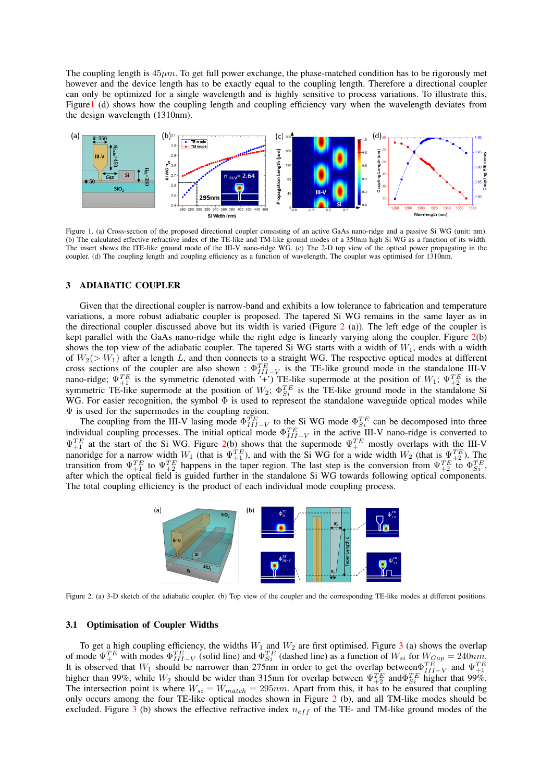The coupling length is  $45\mu m$ . To get full power exchange, the phase-matched condition has to be rigorously met however and the device length has to be exactly equal to the coupling length. Therefore a directional coupler can only be optimized for a single wavelength and is highly sensitive to process variations. To illustrate this, Figur[e1](#page-1-0) (d) shows how the coupling length and coupling efficiency vary when the wavelength deviates from the design wavelength (1310nm).



<span id="page-1-0"></span>Figure 1. (a) Cross-section of the proposed directional coupler consisting of an active GaAs nano-ridge and a passive Si WG (unit: nm). (b) The calculated effective refractive index of the TE-like and TM-like ground modes of a 350nm high Si WG as a function of its width. The insert shows the lTE-like ground mode of the III-V nano-ridge WG. (c) The 2-D top view of the optical power propagating in the coupler. (d) The coupling length and coupling efficiency as a function of wavelength. The coupler was optimised for 1310nm.

# 3 ADIABATIC COUPLER

Given that the directional coupler is narrow-band and exhibits a low tolerance to fabrication and temperature variations, a more robust adiabatic coupler is proposed. The tapered Si WG remains in the same layer as in the directional coupler discussed above but its width is varied (Figure [2](#page-1-1) (a)). The left edge of the coupler is kept parallel with the GaAs nano-ridge while the right edge is linearly varying along the coupler. Figure [2\(](#page-1-1)b) shows the top view of the adiabatic coupler. The tapered Si WG starts with a width of  $W_1$ , ends with a width of  $W_2(> W_1)$  after a length L, and then connects to a straight WG. The respective optical modes at different cross sections of the coupler are also shown :  $\Phi_{III-V}^{TE}$  is the TE-like ground mode in the standalone III-V nano-ridge;  $\Psi_{+1}^{TE}$  is the symmetric (denoted with '+') TE-like supermode at the position of  $W_1$ ;  $\Psi_{+2}^{TE}$  is the symmetric TE-like supermode at the position of  $W_2$ ;  $\Phi_{Si}^{TE}$  is the TE-like ground mode in the standalone Si WG. For easier recognition, the symbol  $\Phi$  is used to represent the standalone waveguide optical modes while  $\Psi$  is used for the supermodes in the coupling region.

The coupling from the III-V lasing mode  $\Phi_{III-V}^{TE}$  to the Si WG mode  $\Phi_{Si}^{TE}$  can be decomposed into three individual coupling processes. The initial optical mode  $\Phi_{III-V}^{TE}$  in the active III-V nano-ridge is converted to  $\Psi_{+1}^{TE}$  at the start of the Si WG. Figure [2\(](#page-1-1)b) shows that the supermode  $\Psi_{+}^{TE}$  mostly overlaps with the III-V nanoridge for a narrow width  $W_1$  (that is  $\Psi_{+1}^{TE}$ ), and with the Si WG for a wide width  $W_2$  (that is  $\Psi_{+2}^{TE}$ ). The transition from  $\Psi_{+1}^{TE}$  to  $\Psi_{+2}^{TE}$  happens in the taper region. The last step is the conversion from  $\Psi_{+2}^{TE}$  to  $\Phi_{Si}^{TE}$ , after which the optical field is guided further in the standalone Si WG towards following optical components. The total coupling efficiency is the product of each individual mode coupling process.



<span id="page-1-1"></span>Figure 2. (a) 3-D sketch of the adiabatic coupler. (b) Top view of the coupler and the corresponding TE-like modes at different positions.

### 3.1 Optimisation of Coupler Widths

To get a high coupling efficiency, the widths  $W_1$  and  $W_2$  are first optimised. Figure [3](#page-2-3) (a) shows the overlap of mode  $\Psi_{+}^{TE}$  with modes  $\Phi_{III-V}^{TE}$  (solid line) and  $\Phi_{Si}^{TE}$  (dashed line) as a function of  $W_{si}$  for  $W_{Gap} = 240nm$ . It is observed that  $W_1$  should be narrower than 275nm in order to get the overlap between  $\Psi_{+1}^{TE}$  and  $\Psi_{+1}^{TE}$  and  $\Psi_{+1}^{TE}$  higher than 99%, while  $W_2$  should be wider than 315nm for overlap between  $\Psi_{+2}^{TE$ The intersection point is where  $W_{si} = W_{match} = 295nm$ . Apart from this, it has to be ensured that coupling only occurs among the four TE-like optical modes shown in Figure [2](#page-1-1) (b), and all TM-like modes should be excluded. Figure  $\overline{3}$  $\overline{3}$  $\overline{3}$  (b) shows the effective refractive index  $n_{eff}$  of the TE- and TM-like ground modes of the